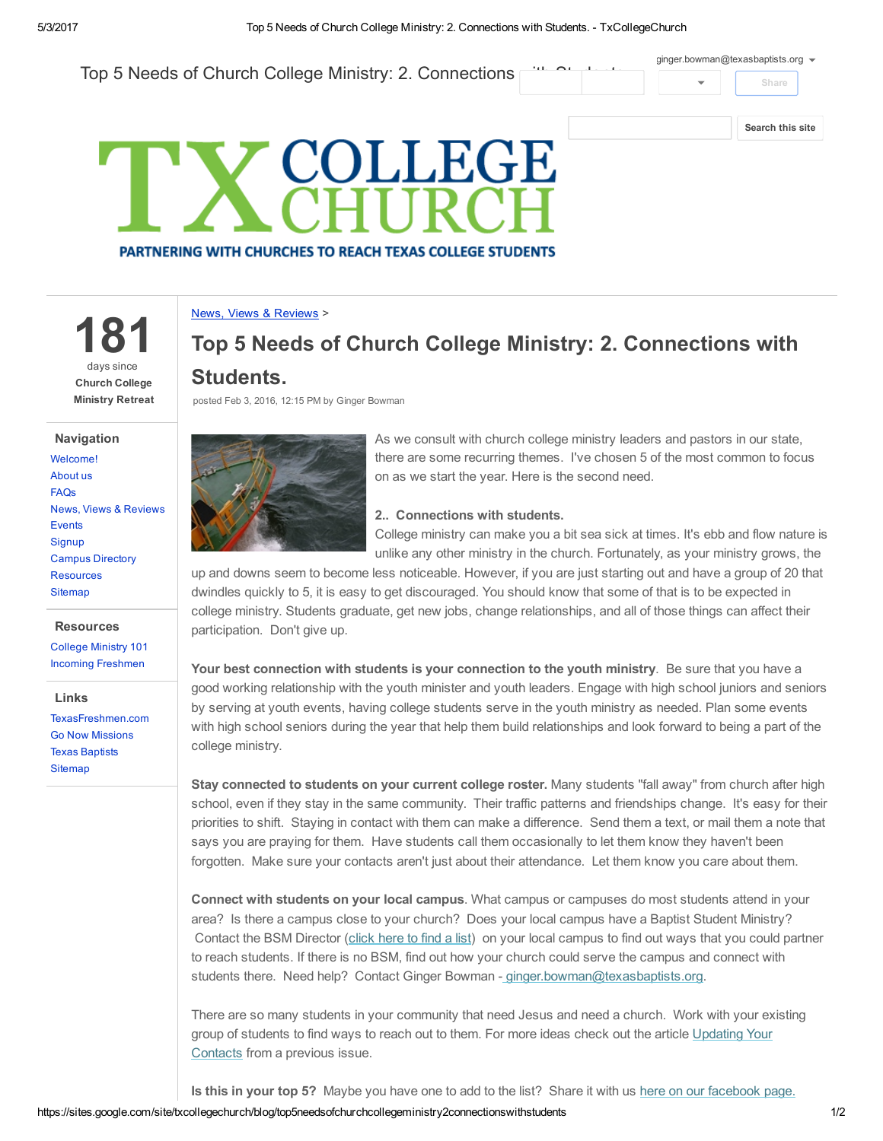Top 5 Needs of Church College Ministry: 2. Connections Share [Search](https://sites.google.com/site/txcollegechurch/) this site [ginger.bowman@texasbaptists.org](https://accounts.google.com/SignOutOptions?hl=en&continue=https://sites.google.com/site/txcollegechurch/blog/top5needsofchurchcollegeministry2connectionswithstudents&service=jotspot)  $\bullet$ 

# COLLEGE **PARTNERING WITH CHURCHES TO REACH TEXAS COLLEGE STUDENTS**

News, Views & [Reviews](https://sites.google.com/site/txcollegechurch/blog) >

181 days since Church College Ministry Retreat

#### Navigation

[Welcome!](https://sites.google.com/site/txcollegechurch/home) [About](https://sites.google.com/site/txcollegechurch/about) us [FAQs](https://sites.google.com/site/txcollegechurch/faqs) News, Views & [Reviews](https://sites.google.com/site/txcollegechurch/blog) **[Events](https://sites.google.com/site/txcollegechurch/events) [Signup](https://sites.google.com/site/txcollegechurch/signup)** Campus [Directory](https://sites.google.com/site/txcollegechurch/campus-directory) [Resources](https://sites.google.com/site/txcollegechurch/resources) **[Sitemap](https://sites.google.com/site/txcollegechurch/system/app/pages/sitemap/hierarchy)** 

#### **Resources**

[College](https://sites.google.com/site/txcollegechurch/resources/college-ministry-essentials) Ministry 101 Incoming [Freshmen](https://sites.google.com/site/txcollegechurch/resources/incoming-freshmen)

#### Links

[TexasFreshmen.com](http://texasfreshmen.com/) Go Now [Missions](http://www.gonowmissions.com/) Texas [Baptists](http://www.texasbaptists.org/) **[Sitemap](https://sites.google.com/site/txcollegechurch/system/app/pages/sitemap/hierarchy)** 

## Top 5 Needs of Church College Ministry: 2. Connections with Students.

posted Feb 3, 2016, 12:15 PM by Ginger Bowman



As we consult with church college ministry leaders and pastors in our state, there are some recurring themes. I've chosen 5 of the most common to focus on as we start the year. Here is the second need.

### 2.. Connections with students.

College ministry can make you a bit sea sick at times. It's ebb and flow nature is unlike any other ministry in the church. Fortunately, as your ministry grows, the

up and downs seem to become less noticeable. However, if you are just starting out and have a group of 20 that dwindles quickly to 5, it is easy to get discouraged. You should know that some of that is to be expected in college ministry. Students graduate, get new jobs, change relationships, and all of those things can affect their participation. Don't give up.

Your best connection with students is your connection to the youth ministry. Be sure that you have a good working relationship with the youth minister and youth leaders. Engage with high school juniors and seniors by serving at youth events, having college students serve in the youth ministry as needed. Plan some events with high school seniors during the year that help them build relationships and look forward to being a part of the college ministry.

Stay connected to students on your current college roster. Many students "fall away" from church after high school, even if they stay in the same community. Their traffic patterns and friendships change. It's easy for their priorities to shift. Staying in contact with them can make a difference. Send them a text, or mail them a note that says you are praying for them. Have students call them occasionally to let them know they haven't been forgotten. Make sure your contacts aren't just about their attendance. Let them know you care about them.

Connect with students on your local campus. What campus or campuses do most students attend in your area? Is there a campus close to your church? Does your local campus have a Baptist Student Ministry? Contact the BSM Director (click [here](http://collegiatechurchlife.us1.list-manage.com/track/click?u=05bce292c6d030cdf9b00c9a8&id=48eb924446&e=464e710706) to find a list) on your local campus to find out ways that you could partner to reach students. If there is no BSM, find out how your church could serve the campus and connect with students there. Need help? Contact Ginger Bowman - [ginger.bowman@texasbaptists.org.](mailto:ginger.bowman@texasbaptists.org?subject=Help%20our%20church%20connect%20to%20our%20local%20campus)

There are so many students in your community that need Jesus and need a church. Work with your existing group of students to find ways to reach out to them. For more ideas check out the article [Updating](http://collegiatechurchlife.us1.list-manage.com/track/click?u=05bce292c6d030cdf9b00c9a8&id=2f6583a6c1&e=464e710706) Your Contacts from a previous issue.

Is this in your top 5? Maybe you have one to add to the list? Share it with us here on our [facebook](http://collegiatechurchlife.us1.list-manage1.com/track/click?u=05bce292c6d030cdf9b00c9a8&id=c032d46145&e=464e710706) page.